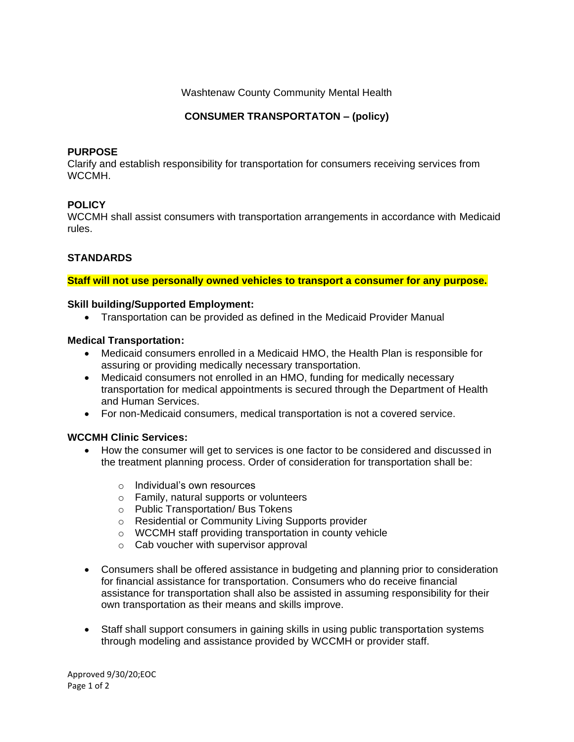Washtenaw County Community Mental Health

## **CONSUMER TRANSPORTATON – (policy)**

#### **PURPOSE**

Clarify and establish responsibility for transportation for consumers receiving services from WCCMH.

## **POLICY**

WCCMH shall assist consumers with transportation arrangements in accordance with Medicaid rules.

## **STANDARDS**

**Staff will not use personally owned vehicles to transport a consumer for any purpose.**

#### **Skill building/Supported Employment:**

• Transportation can be provided as defined in the Medicaid Provider Manual

#### **Medical Transportation:**

- Medicaid consumers enrolled in a Medicaid HMO, the Health Plan is responsible for assuring or providing medically necessary transportation.
- Medicaid consumers not enrolled in an HMO, funding for medically necessary transportation for medical appointments is secured through the Department of Health and Human Services.
- For non-Medicaid consumers, medical transportation is not a covered service.

## **WCCMH Clinic Services:**

- How the consumer will get to services is one factor to be considered and discussed in the treatment planning process. Order of consideration for transportation shall be:
	- o Individual's own resources
	- o Family, natural supports or volunteers
	- o Public Transportation/ Bus Tokens
	- o Residential or Community Living Supports provider
	- o WCCMH staff providing transportation in county vehicle
	- o Cab voucher with supervisor approval
- Consumers shall be offered assistance in budgeting and planning prior to consideration for financial assistance for transportation. Consumers who do receive financial assistance for transportation shall also be assisted in assuming responsibility for their own transportation as their means and skills improve.
- Staff shall support consumers in gaining skills in using public transportation systems through modeling and assistance provided by WCCMH or provider staff.